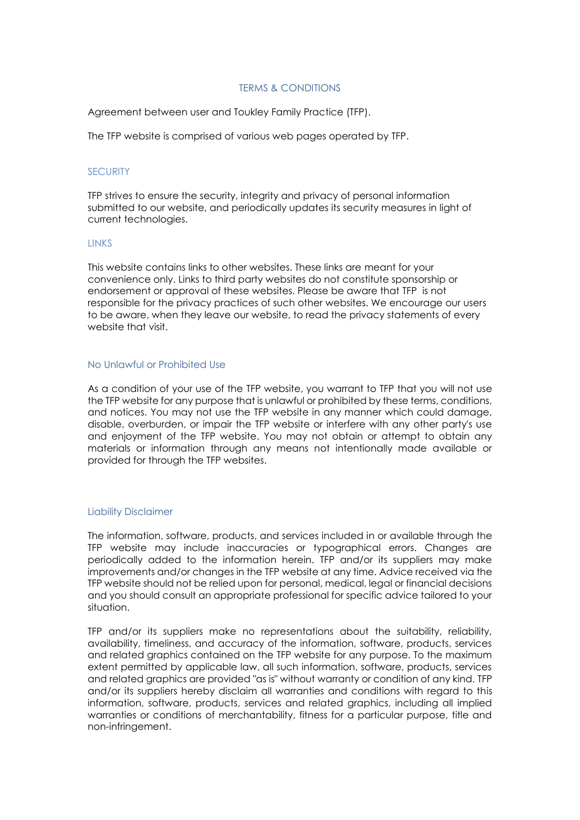## TERMS & CONDITIONS

Agreement between user and Toukley Family Practice (TFP).

The TFP website is comprised of various web pages operated by TFP.

### **SECURITY**

TFP strives to ensure the security, integrity and privacy of personal information submitted to our website, and periodically updates its security measures in light of current technologies.

#### **LINKS**

This website contains links to other websites. These links are meant for your convenience only. Links to third party websites do not constitute sponsorship or endorsement or approval of these websites. Please be aware that TFP is not responsible for the privacy practices of such other websites. We encourage our users to be aware, when they leave our website, to read the privacy statements of every website that visit.

### No Unlawful or Prohibited Use

As a condition of your use of the TFP website, you warrant to TFP that you will not use the TFP website for any purpose that is unlawful or prohibited by these terms, conditions, and notices. You may not use the TFP website in any manner which could damage, disable, overburden, or impair the TFP website or interfere with any other party's use and enjoyment of the TFP website. You may not obtain or attempt to obtain any materials or information through any means not intentionally made available or provided for through the TFP websites.

### Liability Disclaimer

The information, software, products, and services included in or available through the TFP website may include inaccuracies or typographical errors. Changes are periodically added to the information herein. TFP and/or its suppliers may make improvements and/or changes in the TFP website at any time. Advice received via the TFP website should not be relied upon for personal, medical, legal or financial decisions and you should consult an appropriate professional for specific advice tailored to your situation.

TFP and/or its suppliers make no representations about the suitability, reliability, availability, timeliness, and accuracy of the information, software, products, services and related graphics contained on the TFP website for any purpose. To the maximum extent permitted by applicable law, all such information, software, products, services and related graphics are provided "as is" without warranty or condition of any kind. TFP and/or its suppliers hereby disclaim all warranties and conditions with regard to this information, software, products, services and related graphics, including all implied warranties or conditions of merchantability, fitness for a particular purpose, title and non-infringement.